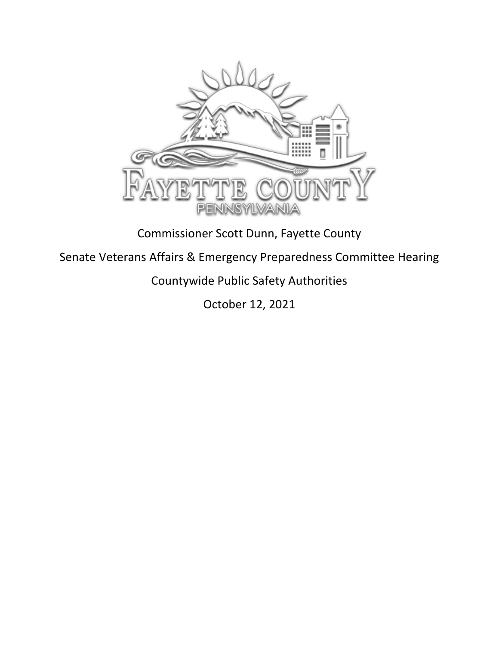

## Commissioner Scott Dunn, Fayette County

## Senate Veterans Affairs & Emergency Preparedness Committee Hearing

## Countywide Public Safety Authorities

October 12, 2021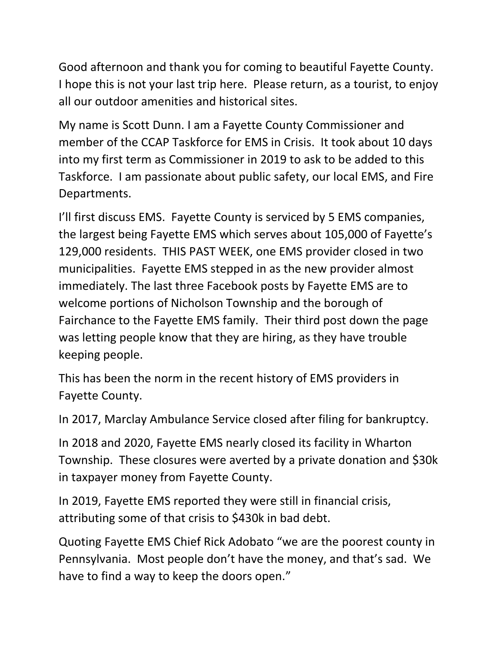Good afternoon and thank you for coming to beautiful Fayette County. I hope this is not your last trip here. Please return, as a tourist, to enjoy all our outdoor amenities and historical sites.

My name is Scott Dunn. I am a Fayette County Commissioner and member of the CCAP Taskforce for EMS in Crisis. It took about 10 days into my first term as Commissioner in 2019 to ask to be added to this Taskforce. I am passionate about public safety, our local EMS, and Fire Departments.

I'll first discuss EMS. Fayette County is serviced by 5 EMS companies, the largest being Fayette EMS which serves about 105,000 of Fayette's 129,000 residents. THIS PAST WEEK, one EMS provider closed in two municipalities. Fayette EMS stepped in as the new provider almost immediately. The last three Facebook posts by Fayette EMS are to welcome portions of Nicholson Township and the borough of Fairchance to the Fayette EMS family. Their third post down the page was letting people know that they are hiring, as they have trouble keeping people.

This has been the norm in the recent history of EMS providers in Fayette County.

In 2017, Marclay Ambulance Service closed after filing for bankruptcy.

In 2018 and 2020, Fayette EMS nearly closed its facility in Wharton Township. These closures were averted by a private donation and \$30k in taxpayer money from Fayette County.

In 2019, Fayette EMS reported they were still in financial crisis, attributing some of that crisis to \$430k in bad debt.

Quoting Fayette EMS Chief Rick Adobato "we are the poorest county in Pennsylvania. Most people don't have the money, and that's sad. We have to find a way to keep the doors open."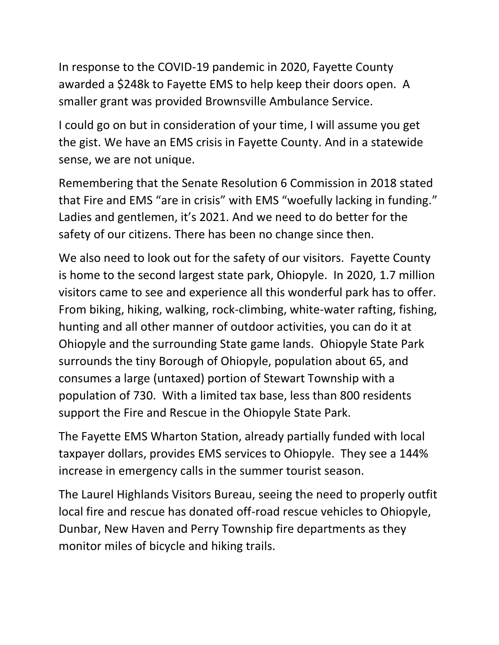In response to the COVID-19 pandemic in 2020, Fayette County awarded a \$248k to Fayette EMS to help keep their doors open. A smaller grant was provided Brownsville Ambulance Service.

I could go on but in consideration of your time, I will assume you get the gist. We have an EMS crisis in Fayette County. And in a statewide sense, we are not unique.

Remembering that the Senate Resolution 6 Commission in 2018 stated that Fire and EMS "are in crisis" with EMS "woefully lacking in funding." Ladies and gentlemen, it's 2021. And we need to do better for the safety of our citizens. There has been no change since then.

We also need to look out for the safety of our visitors. Fayette County is home to the second largest state park, Ohiopyle. In 2020, 1.7 million visitors came to see and experience all this wonderful park has to offer. From biking, hiking, walking, rock-climbing, white-water rafting, fishing, hunting and all other manner of outdoor activities, you can do it at Ohiopyle and the surrounding State game lands. Ohiopyle State Park surrounds the tiny Borough of Ohiopyle, population about 65, and consumes a large (untaxed) portion of Stewart Township with a population of 730. With a limited tax base, less than 800 residents support the Fire and Rescue in the Ohiopyle State Park.

The Fayette EMS Wharton Station, already partially funded with local taxpayer dollars, provides EMS services to Ohiopyle. They see a 144% increase in emergency calls in the summer tourist season.

The Laurel Highlands Visitors Bureau, seeing the need to properly outfit local fire and rescue has donated off-road rescue vehicles to Ohiopyle, Dunbar, New Haven and Perry Township fire departments as they monitor miles of bicycle and hiking trails.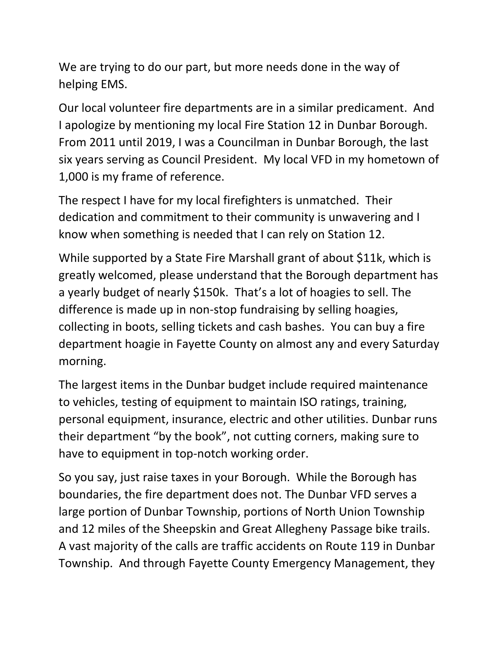We are trying to do our part, but more needs done in the way of helping EMS.

Our local volunteer fire departments are in a similar predicament. And I apologize by mentioning my local Fire Station 12 in Dunbar Borough. From 2011 until 2019, I was a Councilman in Dunbar Borough, the last six years serving as Council President. My local VFD in my hometown of 1,000 is my frame of reference.

The respect I have for my local firefighters is unmatched. Their dedication and commitment to their community is unwavering and I know when something is needed that I can rely on Station 12.

While supported by a State Fire Marshall grant of about \$11k, which is greatly welcomed, please understand that the Borough department has a yearly budget of nearly \$150k. That's a lot of hoagies to sell. The difference is made up in non-stop fundraising by selling hoagies, collecting in boots, selling tickets and cash bashes. You can buy a fire department hoagie in Fayette County on almost any and every Saturday morning.

The largest items in the Dunbar budget include required maintenance to vehicles, testing of equipment to maintain ISO ratings, training, personal equipment, insurance, electric and other utilities. Dunbar runs their department "by the book", not cutting corners, making sure to have to equipment in top-notch working order.

So you say, just raise taxes in your Borough. While the Borough has boundaries, the fire department does not. The Dunbar VFD serves a large portion of Dunbar Township, portions of North Union Township and 12 miles of the Sheepskin and Great Allegheny Passage bike trails. A vast majority of the calls are traffic accidents on Route 119 in Dunbar Township. And through Fayette County Emergency Management, they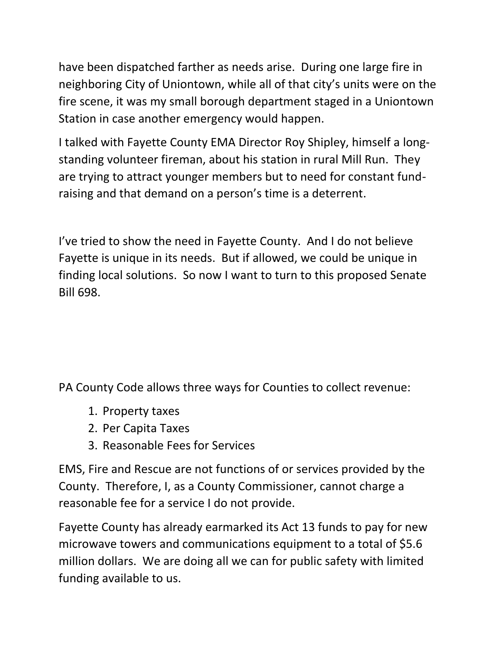have been dispatched farther as needs arise. During one large fire in neighboring City of Uniontown, while all of that city's units were on the fire scene, it was my small borough department staged in a Uniontown Station in case another emergency would happen.

I talked with Fayette County EMA Director Roy Shipley, himself a longstanding volunteer fireman, about his station in rural Mill Run. They are trying to attract younger members but to need for constant fundraising and that demand on a person's time is a deterrent.

I've tried to show the need in Fayette County. And I do not believe Fayette is unique in its needs. But if allowed, we could be unique in finding local solutions. So now I want to turn to this proposed Senate Bill 698.

PA County Code allows three ways for Counties to collect revenue:

- 1. Property taxes
- 2. Per Capita Taxes
- 3. Reasonable Fees for Services

EMS, Fire and Rescue are not functions of or services provided by the County. Therefore, I, as a County Commissioner, cannot charge a reasonable fee for a service I do not provide.

Fayette County has already earmarked its Act 13 funds to pay for new microwave towers and communications equipment to a total of \$5.6 million dollars. We are doing all we can for public safety with limited funding available to us.